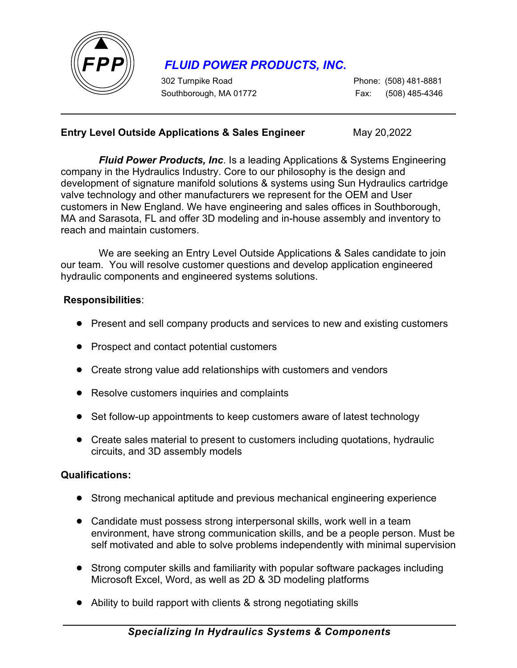

# *FLUID POWER PRODUCTS, INC.*

302 Turnpike Road Phone: (508) 481-8881 Southborough, MA 01772Fax: (508) 485-4346

### **Entry Level Outside Applications & Sales Engineer** May 20,2022

*Fluid Power Products, Inc*. Is a leading Applications & Systems Engineering company in the Hydraulics Industry. Core to our philosophy is the design and development of signature manifold solutions & systems using Sun Hydraulics cartridge valve technology and other manufacturers we represent for the OEM and User customers in New England. We have engineering and sales offices in Southborough, MA and Sarasota, FL and offer 3D modeling and in-house assembly and inventory to reach and maintain customers.

We are seeking an Entry Level Outside Applications & Sales candidate to join our team. You will resolve customer questions and develop application engineered hydraulic components and engineered systems solutions.

### **Responsibilities**:

- Present and sell company products and services to new and existing customers
- Prospect and contact potential customers
- Create strong value add relationships with customers and vendors
- Resolve customers inquiries and complaints
- Set follow-up appointments to keep customers aware of latest technology
- Create sales material to present to customers including quotations, hydraulic circuits, and 3D assembly models

#### **Qualifications:**

- Strong mechanical aptitude and previous mechanical engineering experience
- Candidate must possess strong interpersonal skills, work well in a team environment, have strong communication skills, and be a people person. Must be self motivated and able to solve problems independently with minimal supervision
- Strong computer skills and familiarity with popular software packages including Microsoft Excel, Word, as well as 2D & 3D modeling platforms
- Ability to build rapport with clients & strong negotiating skills